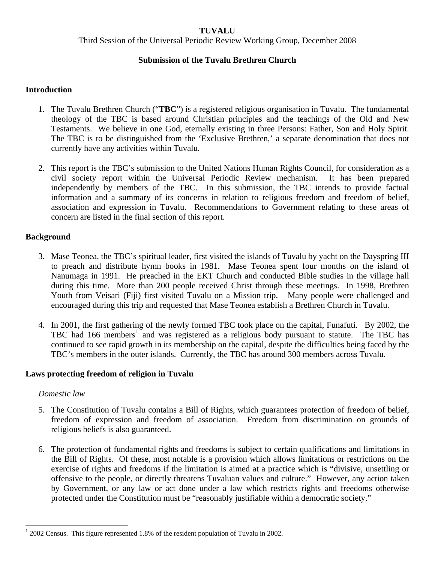## **TUVALU**

Third Session of the Universal Periodic Review Working Group, December 2008

# **Submission of the Tuvalu Brethren Church**

#### **Introduction**

- 1. The Tuvalu Brethren Church ("**TBC**") is a registered religious organisation in Tuvalu. The fundamental theology of the TBC is based around Christian principles and the teachings of the Old and New Testaments. We believe in one God, eternally existing in three Persons: Father, Son and Holy Spirit. The TBC is to be distinguished from the 'Exclusive Brethren,' a separate denomination that does not currently have any activities within Tuvalu.
- 2. This report is the TBC's submission to the United Nations Human Rights Council, for consideration as a civil society report within the Universal Periodic Review mechanism. It has been prepared independently by members of the TBC. In this submission, the TBC intends to provide factual information and a summary of its concerns in relation to religious freedom and freedom of belief, association and expression in Tuvalu. Recommendations to Government relating to these areas of concern are listed in the final section of this report.

## **Background**

- 3. Mase Teonea, the TBC's spiritual leader, first visited the islands of Tuvalu by yacht on the Dayspring III to preach and distribute hymn books in 1981. Mase Teonea spent four months on the island of Nanumaga in 1991. He preached in the EKT Church and conducted Bible studies in the village hall during this time. More than 200 people received Christ through these meetings. In 1998, Brethren Youth from Veisari (Fiji) first visited Tuvalu on a Mission trip. Many people were challenged and encouraged during this trip and requested that Mase Teonea establish a Brethren Church in Tuvalu.
- 4. In 2001, the first gathering of the newly formed TBC took place on the capital, Funafuti. By 2002, the TBC had [1](#page-0-0)66 members<sup>1</sup> and was registered as a religious body pursuant to statute. The TBC has continued to see rapid growth in its membership on the capital, despite the difficulties being faced by the TBC's members in the outer islands. Currently, the TBC has around 300 members across Tuvalu.

#### **Laws protecting freedom of religion in Tuvalu**

#### *Domestic law*

 $\overline{a}$ 

- 5. The Constitution of Tuvalu contains a Bill of Rights, which guarantees protection of freedom of belief, freedom of expression and freedom of association. Freedom from discrimination on grounds of religious beliefs is also guaranteed.
- 6. The protection of fundamental rights and freedoms is subject to certain qualifications and limitations in the Bill of Rights. Of these, most notable is a provision which allows limitations or restrictions on the exercise of rights and freedoms if the limitation is aimed at a practice which is "divisive, unsettling or offensive to the people, or directly threatens Tuvaluan values and culture." However, any action taken by Government, or any law or act done under a law which restricts rights and freedoms otherwise protected under the Constitution must be "reasonably justifiable within a democratic society."

<span id="page-0-0"></span> $12002$  Census. This figure represented 1.8% of the resident population of Tuvalu in 2002.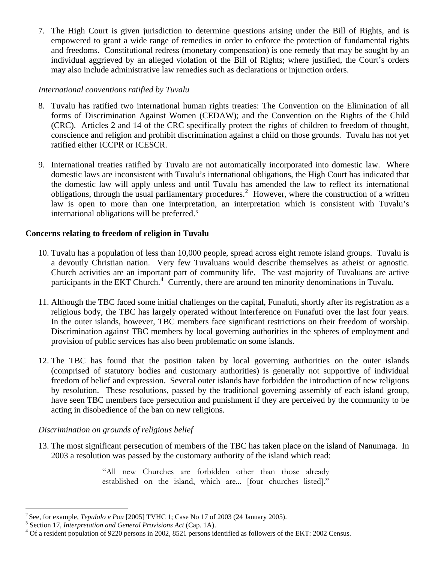7. The High Court is given jurisdiction to determine questions arising under the Bill of Rights, and is empowered to grant a wide range of remedies in order to enforce the protection of fundamental rights and freedoms. Constitutional redress (monetary compensation) is one remedy that may be sought by an individual aggrieved by an alleged violation of the Bill of Rights; where justified, the Court's orders may also include administrative law remedies such as declarations or injunction orders.

## *International conventions ratified by Tuvalu*

- 8. Tuvalu has ratified two international human rights treaties: The Convention on the Elimination of all forms of Discrimination Against Women (CEDAW); and the Convention on the Rights of the Child (CRC). Articles 2 and 14 of the CRC specifically protect the rights of children to freedom of thought, conscience and religion and prohibit discrimination against a child on those grounds. Tuvalu has not yet ratified either ICCPR or ICESCR.
- 9. International treaties ratified by Tuvalu are not automatically incorporated into domestic law. Where domestic laws are inconsistent with Tuvalu's international obligations, the High Court has indicated that the domestic law will apply unless and until Tuvalu has amended the law to reflect its international obligations, through the usual parliamentary procedures.<sup>[2](#page-1-0)</sup> However, where the construction of a written law is open to more than one interpretation, an interpretation which is consistent with Tuvalu's international obligations will be preferred[.3](#page-1-1)

## **Concerns relating to freedom of religion in Tuvalu**

- 10. Tuvalu has a population of less than 10,000 people, spread across eight remote island groups. Tuvalu is a devoutly Christian nation. Very few Tuvaluans would describe themselves as atheist or agnostic. Church activities are an important part of community life. The vast majority of Tuvaluans are active participants in the EKT Church.<sup>[4](#page-1-2)</sup> Currently, there are around ten minority denominations in Tuvalu.
- 11. Although the TBC faced some initial challenges on the capital, Funafuti, shortly after its registration as a religious body, the TBC has largely operated without interference on Funafuti over the last four years. In the outer islands, however, TBC members face significant restrictions on their freedom of worship. Discrimination against TBC members by local governing authorities in the spheres of employment and provision of public services has also been problematic on some islands.
- 12. The TBC has found that the position taken by local governing authorities on the outer islands (comprised of statutory bodies and customary authorities) is generally not supportive of individual freedom of belief and expression. Several outer islands have forbidden the introduction of new religions by resolution. These resolutions, passed by the traditional governing assembly of each island group, have seen TBC members face persecution and punishment if they are perceived by the community to be acting in disobedience of the ban on new religions.

## *Discrimination on grounds of religious belief*

13. The most significant persecution of members of the TBC has taken place on the island of Nanumaga. In 2003 a resolution was passed by the customary authority of the island which read:

> "All new Churches are forbidden other than those already established on the island, which are... [four churches listed]."

 $\overline{a}$ <sup>2</sup> See, for example, *Tepulolo v Pou* [2005] TVHC 1; Case No 17 of 2003 (24 January 2005).

<span id="page-1-1"></span><span id="page-1-0"></span><sup>&</sup>lt;sup>3</sup> Section 17, *Interpretation and General Provisions Act* (Cap. 1A).

<span id="page-1-2"></span><sup>&</sup>lt;sup>4</sup> Of a resident population of 9220 persons in 2002, 8521 persons identified as followers of the EKT: 2002 Census.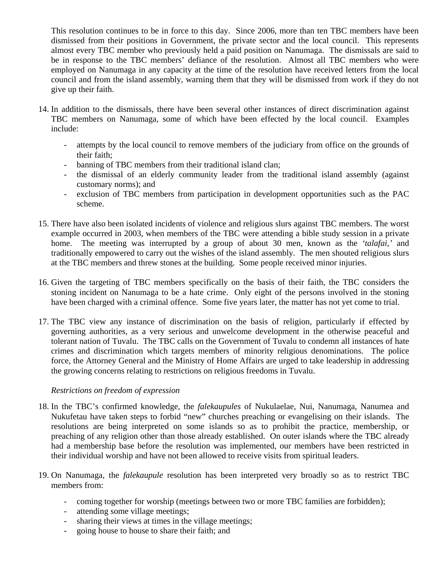This resolution continues to be in force to this day. Since 2006, more than ten TBC members have been dismissed from their positions in Government, the private sector and the local council. This represents almost every TBC member who previously held a paid position on Nanumaga. The dismissals are said to be in response to the TBC members' defiance of the resolution. Almost all TBC members who were employed on Nanumaga in any capacity at the time of the resolution have received letters from the local council and from the island assembly, warning them that they will be dismissed from work if they do not give up their faith.

- 14. In addition to the dismissals, there have been several other instances of direct discrimination against TBC members on Nanumaga, some of which have been effected by the local council. Examples include:
	- attempts by the local council to remove members of the judiciary from office on the grounds of their faith;
	- banning of TBC members from their traditional island clan;
	- the dismissal of an elderly community leader from the traditional island assembly (against customary norms); and
	- exclusion of TBC members from participation in development opportunities such as the PAC scheme.
- 15. There have also been isolated incidents of violence and religious slurs against TBC members. The worst example occurred in 2003, when members of the TBC were attending a bible study session in a private home. The meeting was interrupted by a group of about 30 men, known as the *'talafai,'* and traditionally empowered to carry out the wishes of the island assembly. The men shouted religious slurs at the TBC members and threw stones at the building. Some people received minor injuries.
- 16. Given the targeting of TBC members specifically on the basis of their faith, the TBC considers the stoning incident on Nanumaga to be a hate crime. Only eight of the persons involved in the stoning have been charged with a criminal offence. Some five years later, the matter has not yet come to trial.
- 17. The TBC view any instance of discrimination on the basis of religion, particularly if effected by governing authorities, as a very serious and unwelcome development in the otherwise peaceful and tolerant nation of Tuvalu. The TBC calls on the Government of Tuvalu to condemn all instances of hate crimes and discrimination which targets members of minority religious denominations. The police force, the Attorney General and the Ministry of Home Affairs are urged to take leadership in addressing the growing concerns relating to restrictions on religious freedoms in Tuvalu.

## *Restrictions on freedom of expression*

- 18. In the TBC's confirmed knowledge, the *falekaupules* of Nukulaelae, Nui, Nanumaga, Nanumea and Nukufetau have taken steps to forbid "new" churches preaching or evangelising on their islands. The resolutions are being interpreted on some islands so as to prohibit the practice, membership, or preaching of any religion other than those already established. On outer islands where the TBC already had a membership base before the resolution was implemented, our members have been restricted in their individual worship and have not been allowed to receive visits from spiritual leaders.
- 19. On Nanumaga, the *falekaupule* resolution has been interpreted very broadly so as to restrict TBC members from:
	- coming together for worship (meetings between two or more TBC families are forbidden);
	- attending some village meetings;
	- sharing their views at times in the village meetings;
	- going house to house to share their faith; and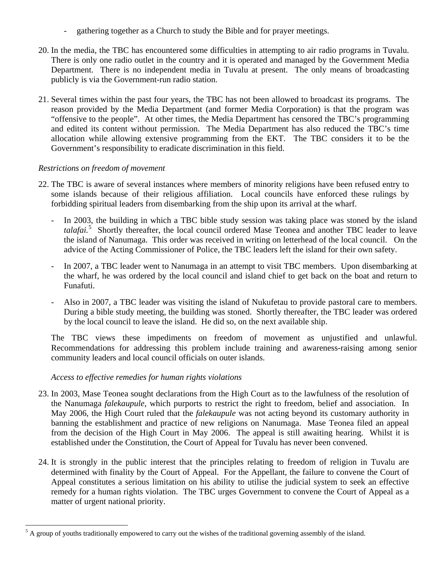- gathering together as a Church to study the Bible and for prayer meetings.
- 20. In the media, the TBC has encountered some difficulties in attempting to air radio programs in Tuvalu. There is only one radio outlet in the country and it is operated and managed by the Government Media Department. There is no independent media in Tuvalu at present. The only means of broadcasting publicly is via the Government-run radio station.
- 21. Several times within the past four years, the TBC has not been allowed to broadcast its programs. The reason provided by the Media Department (and former Media Corporation) is that the program was "offensive to the people". At other times, the Media Department has censored the TBC's programming and edited its content without permission. The Media Department has also reduced the TBC's time allocation while allowing extensive programming from the EKT. The TBC considers it to be the Government's responsibility to eradicate discrimination in this field.

# *Restrictions on freedom of movement*

 $\overline{a}$ 

- 22. The TBC is aware of several instances where members of minority religions have been refused entry to some islands because of their religious affiliation. Local councils have enforced these rulings by forbidding spiritual leaders from disembarking from the ship upon its arrival at the wharf.
	- In 2003, the building in which a TBC bible study session was taking place was stoned by the island talafai.<sup>[5](#page-3-0)</sup> Shortly thereafter, the local council ordered Mase Teonea and another TBC leader to leave the island of Nanumaga. This order was received in writing on letterhead of the local council. On the advice of the Acting Commissioner of Police, the TBC leaders left the island for their own safety.
	- In 2007, a TBC leader went to Nanumaga in an attempt to visit TBC members. Upon disembarking at the wharf, he was ordered by the local council and island chief to get back on the boat and return to Funafuti.
	- Also in 2007, a TBC leader was visiting the island of Nukufetau to provide pastoral care to members. During a bible study meeting, the building was stoned. Shortly thereafter, the TBC leader was ordered by the local council to leave the island. He did so, on the next available ship.

The TBC views these impediments on freedom of movement as unjustified and unlawful. Recommendations for addressing this problem include training and awareness-raising among senior community leaders and local council officials on outer islands.

## *Access to effective remedies for human rights violations*

- 23. In 2003, Mase Teonea sought declarations from the High Court as to the lawfulness of the resolution of the Nanumaga *falekaupule*, which purports to restrict the right to freedom, belief and association. In May 2006, the High Court ruled that the *falekaupule* was not acting beyond its customary authority in banning the establishment and practice of new religions on Nanumaga. Mase Teonea filed an appeal from the decision of the High Court in May 2006. The appeal is still awaiting hearing. Whilst it is established under the Constitution, the Court of Appeal for Tuvalu has never been convened.
- 24. It is strongly in the public interest that the principles relating to freedom of religion in Tuvalu are determined with finality by the Court of Appeal. For the Appellant, the failure to convene the Court of Appeal constitutes a serious limitation on his ability to utilise the judicial system to seek an effective remedy for a human rights violation. The TBC urges Government to convene the Court of Appeal as a matter of urgent national priority.

<span id="page-3-0"></span> $<sup>5</sup>$  A group of youths traditionally empowered to carry out the wishes of the traditional governing assembly of the island.</sup>